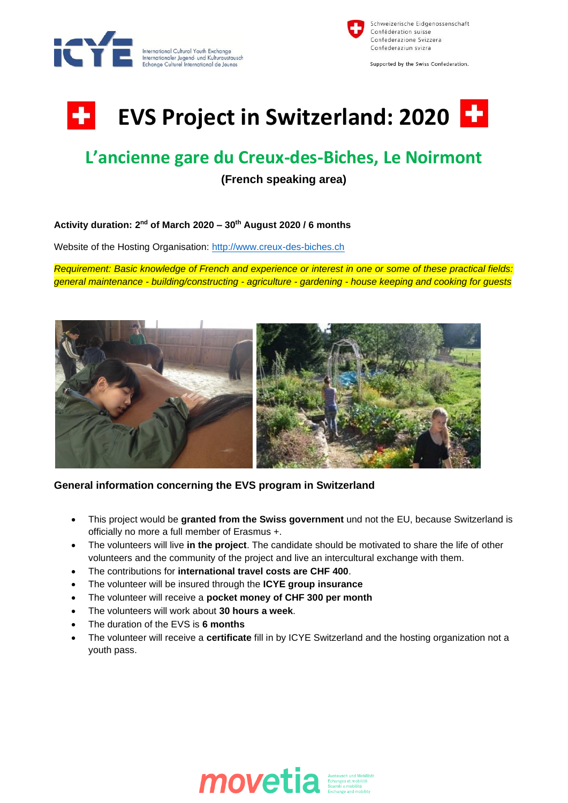



Supported by the Swiss Confederation.



# **L'ancienne gare du Creux-des-Biches, Le Noirmont**

**(French speaking area)**

## **Activity duration: 2 nd of March 2020 – 30th August 2020 / 6 months**

Website of the Hosting Organisation: [http://www.creux-des-biches.ch](http://www.creux-des-biches.ch/)

*Requirement: Basic knowledge of French and experience or interest in one or some of these practical fields: general maintenance - building/constructing - agriculture - gardening - house keeping and cooking for guests*



## **General information concerning the EVS program in Switzerland**

- This project would be **granted from the Swiss government** und not the EU, because Switzerland is officially no more a full member of Erasmus +.
- The volunteers will live **in the project**. The candidate should be motivated to share the life of other volunteers and the community of the project and live an intercultural exchange with them.
- The contributions for **international travel costs are CHF 400**.
- The volunteer will be insured through the **ICYE group insurance**
- The volunteer will receive a **pocket money of CHF 300 per month**
- The volunteers will work about **30 hours a week**.
- The duration of the EVS is **6 months**
- The volunteer will receive a **certificate** fill in by ICYE Switzerland and the hosting organization not a youth pass.